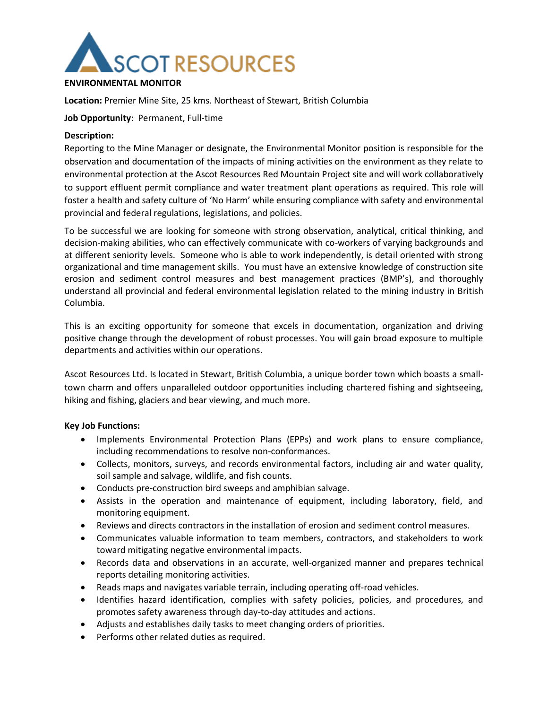

#### **ENVIRONMENTAL MONITOR**

**Location:** Premier Mine Site, 25 kms. Northeast of Stewart, British Columbia

#### **Job Opportunity**: Permanent, Full-time

#### **Description:**

Reporting to the Mine Manager or designate, the Environmental Monitor position is responsible for the observation and documentation of the impacts of mining activities on the environment as they relate to environmental protection at the Ascot Resources Red Mountain Project site and will work collaboratively to support effluent permit compliance and water treatment plant operations as required. This role will foster a health and safety culture of 'No Harm' while ensuring compliance with safety and environmental provincial and federal regulations, legislations, and policies.

To be successful we are looking for someone with strong observation, analytical, critical thinking, and decision-making abilities, who can effectively communicate with co-workers of varying backgrounds and at different seniority levels. Someone who is able to work independently, is detail oriented with strong organizational and time management skills. You must have an extensive knowledge of construction site erosion and sediment control measures and best management practices (BMP's), and thoroughly understand all provincial and federal environmental legislation related to the mining industry in British Columbia.

This is an exciting opportunity for someone that excels in documentation, organization and driving positive change through the development of robust processes. You will gain broad exposure to multiple departments and activities within our operations.

Ascot Resources Ltd. Is located in Stewart, British Columbia, a unique border town which boasts a smalltown charm and offers unparalleled outdoor opportunities including chartered fishing and sightseeing, hiking and fishing, glaciers and bear viewing, and much more.

# **Key Job Functions:**

- Implements Environmental Protection Plans (EPPs) and work plans to ensure compliance, including recommendations to resolve non-conformances.
- Collects, monitors, surveys, and records environmental factors, including air and water quality, soil sample and salvage, wildlife, and fish counts.
- Conducts pre-construction bird sweeps and amphibian salvage.
- Assists in the operation and maintenance of equipment, including laboratory, field, and monitoring equipment.
- Reviews and directs contractors in the installation of erosion and sediment control measures.
- Communicates valuable information to team members, contractors, and stakeholders to work toward mitigating negative environmental impacts.
- Records data and observations in an accurate, well-organized manner and prepares technical reports detailing monitoring activities.
- Reads maps and navigates variable terrain, including operating off-road vehicles.
- Identifies hazard identification, complies with safety policies, policies, and procedures, and promotes safety awareness through day-to-day attitudes and actions.
- Adjusts and establishes daily tasks to meet changing orders of priorities.
- Performs other related duties as required.